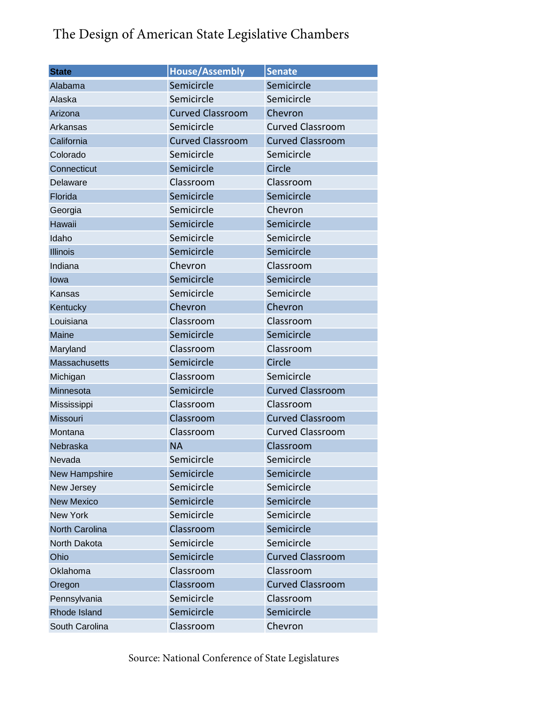## The Design of American State Legislative Chambers

| <b>State</b>         | <b>House/Assembly</b>   | <b>Senate</b>           |  |
|----------------------|-------------------------|-------------------------|--|
| Alabama              | Semicircle              | Semicircle              |  |
| Alaska               | Semicircle              | Semicircle              |  |
| Arizona              | <b>Curved Classroom</b> | Chevron                 |  |
| <b>Arkansas</b>      | Semicircle              | <b>Curved Classroom</b> |  |
| California           | <b>Curved Classroom</b> | <b>Curved Classroom</b> |  |
| Colorado             | Semicircle              | Semicircle              |  |
| Connecticut          | Semicircle              | Circle                  |  |
| Delaware             | Classroom               | Classroom               |  |
| Florida              | Semicircle              | Semicircle              |  |
| Georgia              | Semicircle              | Chevron                 |  |
| Hawaii               | Semicircle              | Semicircle              |  |
| Idaho                | Semicircle              | Semicircle              |  |
| <b>Illinois</b>      | Semicircle              | Semicircle              |  |
| Indiana              | Chevron                 | Classroom               |  |
| lowa                 | Semicircle              | Semicircle              |  |
| Kansas               | Semicircle              | Semicircle              |  |
| Kentucky             | Chevron                 | Chevron                 |  |
| Louisiana            | Classroom               | Classroom               |  |
| Maine                | Semicircle              | Semicircle              |  |
| Maryland             | Classroom               | Classroom               |  |
| <b>Massachusetts</b> | Semicircle              | Circle                  |  |
| Michigan             | Classroom               | Semicircle              |  |
| Minnesota            | Semicircle              | <b>Curved Classroom</b> |  |
| Mississippi          | Classroom               | Classroom               |  |
| Missouri             | Classroom               | <b>Curved Classroom</b> |  |
| Montana              | Classroom               | <b>Curved Classroom</b> |  |
| Nebraska             | <b>NA</b>               | Classroom               |  |
| Nevada               | Semicircle              | Semicircle              |  |
| New Hampshire        | Semicircle              | Semicircle              |  |
| New Jersey           | Semicircle              | Semicircle              |  |
| <b>New Mexico</b>    | Semicircle              | Semicircle              |  |
| <b>New York</b>      | Semicircle              | Semicircle              |  |
| North Carolina       | Classroom               | Semicircle              |  |
| North Dakota         | Semicircle              | Semicircle              |  |
| Ohio                 | Semicircle              | <b>Curved Classroom</b> |  |
| Oklahoma             | Classroom               | Classroom               |  |
| Oregon               | Classroom               | <b>Curved Classroom</b> |  |
| Pennsylvania         | Semicircle              | Classroom               |  |
| Rhode Island         | Semicircle              | Semicircle              |  |
| South Carolina       | Classroom               | Chevron                 |  |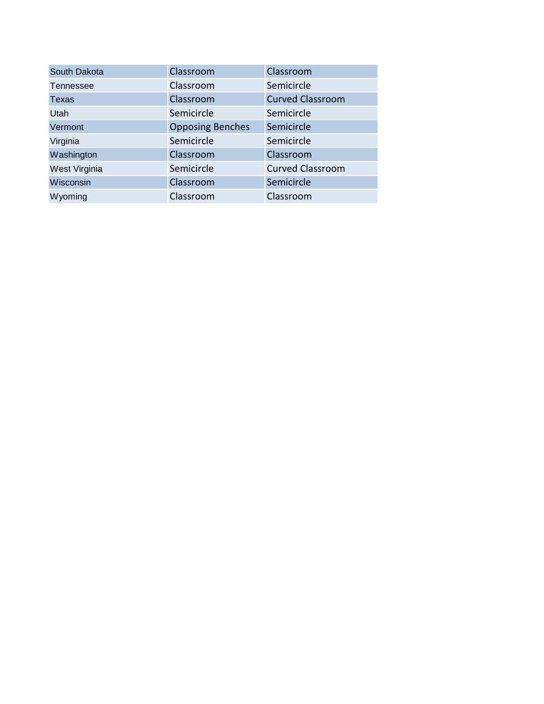| South Dakota  | Classroom               | Classroom               |
|---------------|-------------------------|-------------------------|
| Tennessee     | Classroom               | Semicircle              |
| Texas         | Classroom               | <b>Curved Classroom</b> |
| Utah          | Semicircle              | Semicircle              |
| Vermont       | <b>Opposing Benches</b> | Semicircle              |
| Virginia      | Semicircle              | Semicircle              |
| Washington    | Classroom               | Classroom               |
| West Virginia | Semicircle              | <b>Curved Classroom</b> |
| Wisconsin     | Classroom               | Semicircle              |
| Wyoming       | Classroom               | Classroom               |